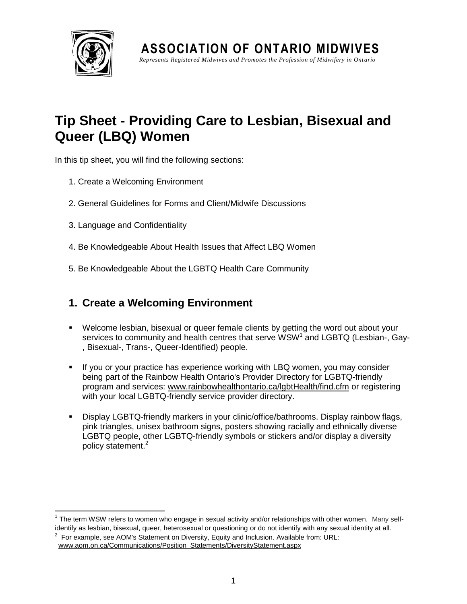

**ASSOCIATION OF ONTARIO MIDWIVES** *Represents Registered Midwives and Promotes the Profession of Midwifery in Ont ario*

# **Tip Sheet - Providing Care to Lesbian, Bisexual and Queer (LBQ) Women**

In this tip sheet, you will find the following sections:

- 1. Create a Welcoming Environment
- 2. General Guidelines for Forms and Client/Midwife Discussions
- 3. Language and Confidentiality
- 4. Be Knowledgeable About Health Issues that Affect LBQ Women
- 5. Be Knowledgeable About the LGBTQ Health Care Community

# **1. Create a Welcoming Environment**

- Welcome lesbian, bisexual or queer female clients by getting the word out about your services to community and health centres that serve WSW<sup>1</sup> and LGBTQ (Lesbian-, Gay-, Bisexual-, Trans-, Queer-Identified) people.
- If you or your practice has experience working with LBQ women, you may consider being part of the Rainbow Health Ontario's Provider Directory for LGBTQ-friendly program and services: [www.rainbowhealthontario.ca/lgbtHealth/find.cfm](http://www.rainbowhealthontario.ca/lgbtHealth/find.cfm) or registering with your local LGBTQ-friendly service provider directory.
- Display LGBTQ-friendly markers in your clinic/office/bathrooms. Display rainbow flags, pink triangles, unisex bathroom signs, posters showing racially and ethnically diverse LGBTQ people, other LGBTQ-friendly symbols or stickers and/or display a diversity policy statement.<sup>2</sup>

 $\overline{\phantom{a}}$  $1$  The term WSW refers to women who engage in sexual activity and/or relationships with other women. Many selfidentify as lesbian, bisexual, queer, heterosexual or questioning or do not identify with any sexual identity at all.

 $2$  For example, see AOM's Statement on Diversity, Equity and Inclusion. Available from: URL: www.aom.on.ca/Communications/Position\_Statements/DiversityStatement.aspx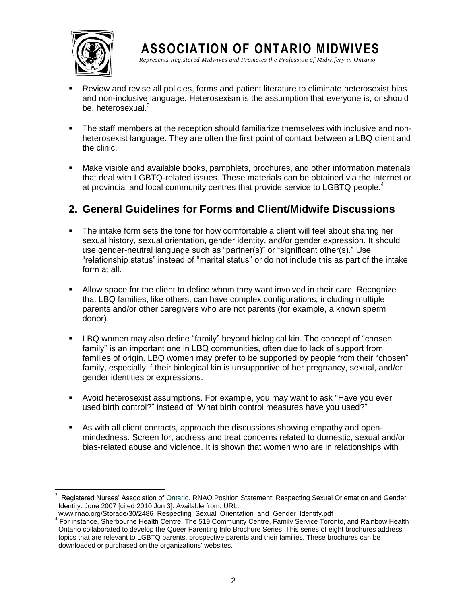

 $\overline{a}$ 

**ASSOCIATION OF ONTARIO MIDWIVES** *Represents Registered Midwives and Promotes the Profession of Midwifery in Ont ario*

- Review and revise all policies, forms and patient literature to eliminate heterosexist bias and non-inclusive language. Heterosexism is the assumption that everyone is, or should be, heterosexual.<sup>3</sup>
- The staff members at the reception should familiarize themselves with inclusive and nonheterosexist language. They are often the first point of contact between a LBQ client and the clinic.
- Make visible and available books, pamphlets, brochures, and other information materials that deal with LGBTQ-related issues. These materials can be obtained via the Internet or at provincial and local community centres that provide service to LGBTQ people.<sup>4</sup>

### **2. General Guidelines for Forms and Client/Midwife Discussions**

- The intake form sets the tone for how comfortable a client will feel about sharing her sexual history, sexual orientation, gender identity, and/or gender expression. It should use gender-neutral language such as "partner(s)" or "significant other(s)." Use "relationship status" instead of "marital status" or do not include this as part of the intake form at all.
- Allow space for the client to define whom they want involved in their care. Recognize that LBQ families, like others, can have complex configurations, including multiple parents and/or other caregivers who are not parents (for example, a known sperm donor).
- LBQ women may also define "family" beyond biological kin. The concept of "chosen family" is an important one in LBQ communities, often due to lack of support from families of origin. LBQ women may prefer to be supported by people from their "chosen" family, especially if their biological kin is unsupportive of her pregnancy, sexual, and/or gender identities or expressions.
- Avoid heterosexist assumptions. For example, you may want to ask "Have you ever used birth control?" instead of "What birth control measures have you used?"
- As with all client contacts, approach the discussions showing empathy and openmindedness. Screen for, address and treat concerns related to domestic, sexual and/or bias-related abuse and violence. It is shown that women who are in relationships with

<sup>3</sup> Registered Nurses' Association of Ontario. RNAO Position Statement: Respecting Sexual Orientation and Gender Identity. June 2007 [cited 2010 Jun 3]. Available from: URL: www.rnao.org/Storage/30/2486 Respecting Sexual Orientation and Gender Identity.pdf

<sup>&</sup>lt;sup>4</sup> For instance, Sherbourne Health Centre, The 519 Community Centre, Family Service Toronto, and Rainbow Health Ontario collaborated to develop the Queer Parenting Info Brochure Series. This series of eight brochures address topics that are relevant to LGBTQ parents, prospective parents and their families. These brochures can be downloaded or purchased on the organizations' websites.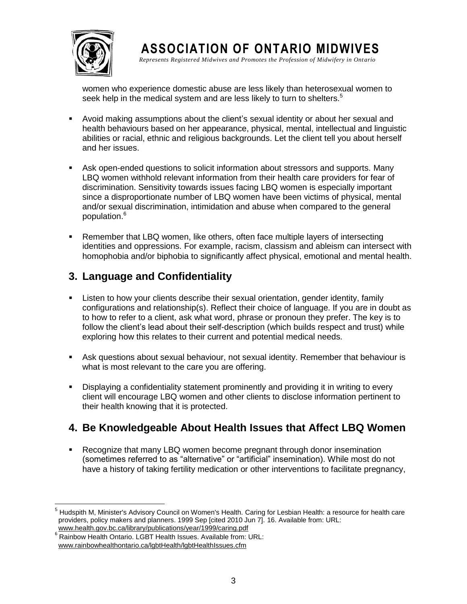

**ASSOCIATION OF ONTARIO MIDWIVES** *Represents Registered Midwives and Promotes the Profession of Midwifery in Ont ario*

women who experience domestic abuse are less likely than heterosexual women to seek help in the medical system and are less likely to turn to shelters.<sup>5</sup>

- Avoid making assumptions about the client's sexual identity or about her sexual and health behaviours based on her appearance, physical, mental, intellectual and linguistic abilities or racial, ethnic and religious backgrounds. Let the client tell you about herself and her issues.
- Ask open-ended questions to solicit information about stressors and supports. Many LBQ women withhold relevant information from their health care providers for fear of discrimination. Sensitivity towards issues facing LBQ women is especially important since a disproportionate number of LBQ women have been victims of physical, mental and/or sexual discrimination, intimidation and abuse when compared to the general population.<sup>6</sup>
- Remember that LBQ women, like others, often face multiple layers of intersecting identities and oppressions. For example, racism, classism and ableism can intersect with homophobia and/or biphobia to significantly affect physical, emotional and mental health.

### **3. Language and Confidentiality**

- Listen to how your clients describe their sexual orientation, gender identity, family configurations and relationship(s). Reflect their choice of language. If you are in doubt as to how to refer to a client, ask what word, phrase or pronoun they prefer. The key is to follow the client's lead about their self-description (which builds respect and trust) while exploring how this relates to their current and potential medical needs.
- Ask questions about sexual behaviour, not sexual identity. Remember that behaviour is what is most relevant to the care you are offering.
- Displaying a confidentiality statement prominently and providing it in writing to every client will encourage LBQ women and other clients to disclose information pertinent to their health knowing that it is protected.

#### **4. Be Knowledgeable About Health Issues that Affect LBQ Women**

 Recognize that many LBQ women become pregnant through donor insemination (sometimes referred to as "alternative" or "artificial" insemination). While most do not have a history of taking fertility medication or other interventions to facilitate pregnancy,

l <sup>5</sup> Hudspith M, Minister's Advisory Council on Women's Health. Caring for Lesbian Health: a resource for health care providers, policy makers and planners. 1999 Sep [cited 2010 Jun 7]. 16. Available from: URL: www.health.gov.bc.ca/library/publications/year/1999/caring.pdf

<sup>6</sup> Rainbow Health Ontario. LGBT Health Issues. Available from: URL: www.rainbowhealthontario.ca/lgbtHealth/lgbtHealthIssues.cfm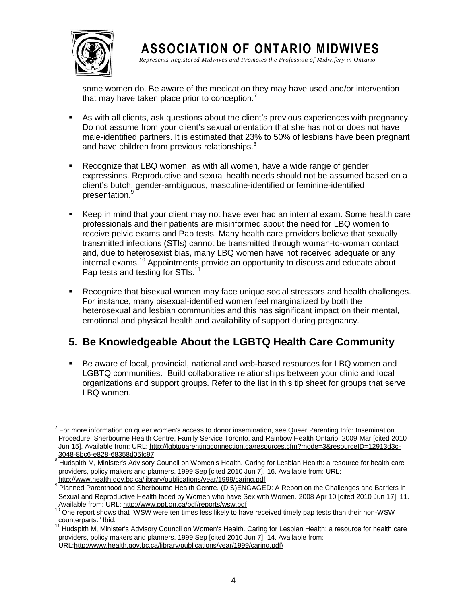

 $\overline{\phantom{a}}$ 

**ASSOCIATION OF ONTARIO MIDWIVES** *Represents Registered Midwives and Promotes the Profession of Midwifery in Ont ario*

some women do. Be aware of the medication they may have used and/or intervention that may have taken place prior to conception.<sup>7</sup>

- As with all clients, ask questions about the client's previous experiences with pregnancy. Do not assume from your client's sexual orientation that she has not or does not have male-identified partners. It is estimated that 23% to 50% of lesbians have been pregnant and have children from previous relationships.<sup>8</sup>
- Recognize that LBQ women, as with all women, have a wide range of gender expressions. Reproductive and sexual health needs should not be assumed based on a client's butch, gender-ambiguous, masculine-identified or feminine-identified presentation.<sup>9</sup>
- Keep in mind that your client may not have ever had an internal exam. Some health care professionals and their patients are misinformed about the need for LBQ women to receive pelvic exams and Pap tests. Many health care providers believe that sexually transmitted infections (STIs) cannot be transmitted through woman-to-woman contact and, due to heterosexist bias, many LBQ women have not received adequate or any internal exams. <sup>10</sup> Appointments provide an opportunity to discuss and educate about Pap tests and testing for STIs.<sup>11</sup>
- Recognize that bisexual women may face unique social stressors and health challenges. For instance, many bisexual-identified women feel marginalized by both the heterosexual and lesbian communities and this has significant impact on their mental, emotional and physical health and availability of support during pregnancy.

# **5. Be Knowledgeable About the LGBTQ Health Care Community**

 Be aware of local, provincial, national and web-based resources for LBQ women and LGBTQ communities. Build collaborative relationships between your clinic and local organizations and support groups. Refer to the list in this tip sheet for groups that serve LBQ women.

 $7$  For more information on queer women's access to donor insemination, see Queer Parenting Info: Insemination Procedure. Sherbourne Health Centre, Family Service Toronto, and Rainbow Health Ontario. 2009 Mar [cited 2010 Jun 15]. Available from: URL: http://lgbtqparentingconnection.ca/resources.cfm?mode=3&resourceID=12913d3c-3048-8bc6-e828-68358d05fc97

<sup>8</sup> Hudspith M, Minister's Advisory Council on Women's Health. Caring for Lesbian Health: a resource for health care providers, policy makers and planners. 1999 Sep [cited 2010 Jun 7]. 16. Available from: URL: http://www.health.gov.bc.ca/library/publications/year/1999/caring.pdf

<sup>&</sup>lt;sup>9</sup> Planned Parenthood and Sherbourne Health Centre. (DIS)ENGAGED: A Report on the Challenges and Barriers in [Sexual and Reproductive Health faced by Women who have Sex with Women.](http://www.ppt.on.ca/pdf/reports/wsw.pdf) 2008 Apr 10 [cited 2010 Jun 17]. 11. Available from: URL: http://www.ppt.on.ca/pdf/reports/wsw.pdf

<sup>&</sup>lt;sup>10</sup> One report shows that "WSW were ten times less likely to have received timely pap tests than their non-WSW counterparts." Ibid.

 $11$  Hudspith M, Minister's Advisory Council on Women's Health. Caring for Lesbian Health: a resource for health care providers, policy makers and planners. 1999 Sep [cited 2010 Jun 7]. 14. Available from: URL:http://www.health.gov.bc.ca/library/publications/year/1999/caring.pdf\